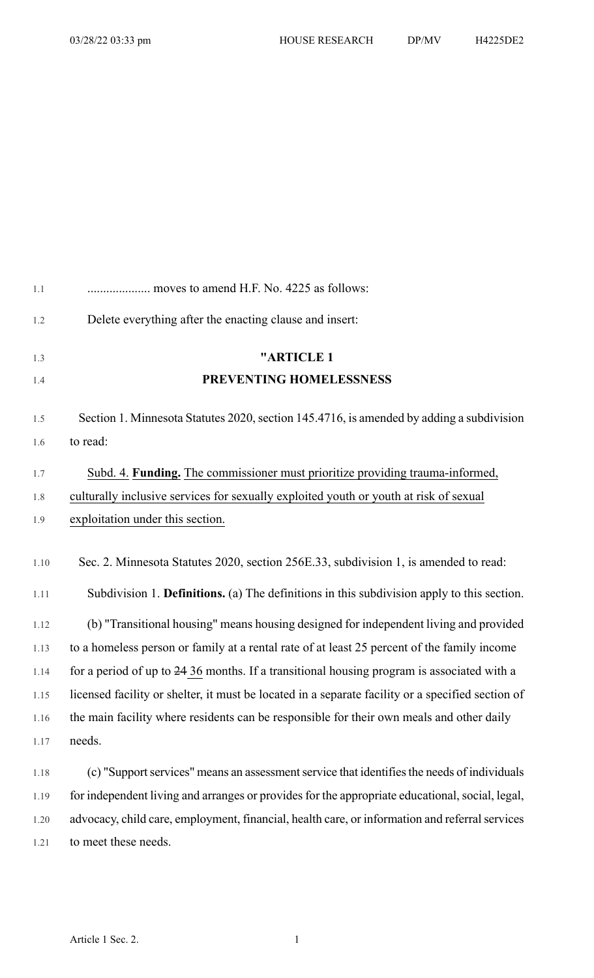| 1.1          | moves to amend H.F. No. 4225 as follows:                                                                                                                                           |
|--------------|------------------------------------------------------------------------------------------------------------------------------------------------------------------------------------|
| 1.2          | Delete everything after the enacting clause and insert:                                                                                                                            |
| 1.3          | "ARTICLE 1                                                                                                                                                                         |
| 1.4          | PREVENTING HOMELESSNESS                                                                                                                                                            |
| 1.5          | Section 1. Minnesota Statutes 2020, section 145.4716, is amended by adding a subdivision                                                                                           |
| 1.6          | to read:                                                                                                                                                                           |
| $1.7\,$      | Subd. 4. Funding. The commissioner must prioritize providing trauma-informed,                                                                                                      |
| $1.8\,$      | culturally inclusive services for sexually exploited youth or youth at risk of sexual                                                                                              |
| 1.9          | exploitation under this section.                                                                                                                                                   |
| 1.10<br>1.11 | Sec. 2. Minnesota Statutes 2020, section 256E.33, subdivision 1, is amended to read:<br>Subdivision 1. Definitions. (a) The definitions in this subdivision apply to this section. |
| 1.12         | (b) "Transitional housing" means housing designed for independent living and provided                                                                                              |
| 1.13         | to a homeless person or family at a rental rate of at least 25 percent of the family income                                                                                        |
| 1.14         | for a period of up to 24 36 months. If a transitional housing program is associated with a                                                                                         |
| 1.15         | licensed facility or shelter, it must be located in a separate facility or a specified section of                                                                                  |
| 1.16         | the main facility where residents can be responsible for their own meals and other daily                                                                                           |
| 1.17         | needs.                                                                                                                                                                             |
| 1.18         | (c) "Support services" means an assessment service that identifies the needs of individuals                                                                                        |
| 1.19         | for independent living and arranges or provides for the appropriate educational, social, legal,                                                                                    |

1.20 advocacy, child care, employment, financial, health care, or information and referral services

1.21 to meet these needs.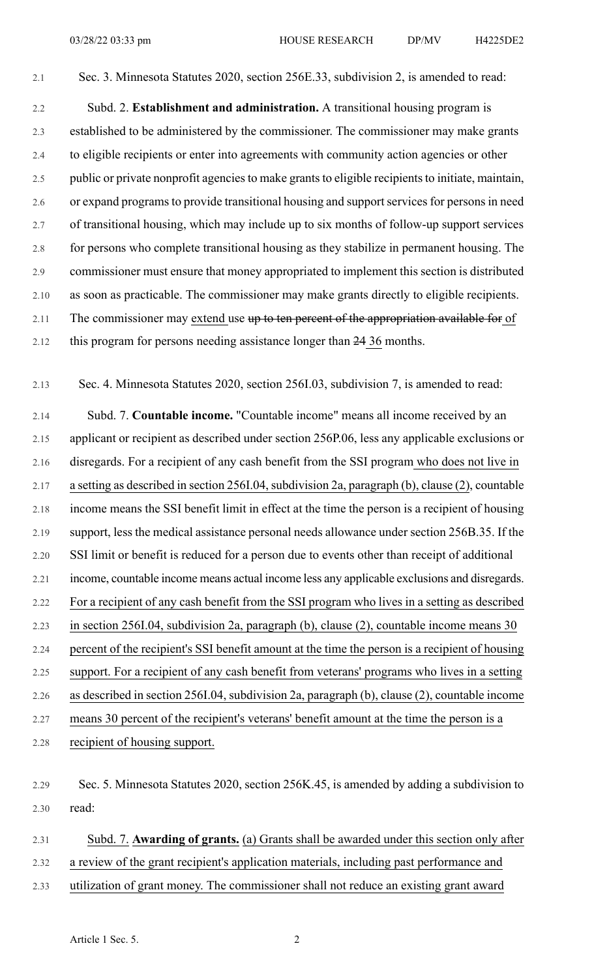2.1 Sec. 3. Minnesota Statutes 2020, section 256E.33, subdivision 2, is amended to read:

2.2 Subd. 2. **Establishment and administration.** A transitional housing program is 2.3 established to be administered by the commissioner. The commissioner may make grants 2.4 to eligible recipients or enter into agreements with community action agencies or other 2.5 public or private nonprofit agencies to make grants to eligible recipients to initiate, maintain, 2.6 or expand programs to provide transitional housing and support services for persons in need 2.7 of transitional housing, which may include up to six months of follow-up support services 2.8 for persons who complete transitional housing as they stabilize in permanent housing. The 2.9 commissioner must ensure that money appropriated to implement this section is distributed 2.10 as soon as practicable. The commissioner may make grants directly to eligible recipients. 2.11 The commissioner may extend use up to ten percent of the appropriation available for of 2.12 this program for persons needing assistance longer than 24 36 months.

2.13 Sec. 4. Minnesota Statutes 2020, section 256I.03, subdivision 7, is amended to read:

2.14 Subd. 7. **Countable income.** "Countable income" means all income received by an 2.15 applicant or recipient as described under section 256P.06, less any applicable exclusions or 2.16 disregards. For a recipient of any cash benefit from the SSI program who does not live in 2.17 a setting as described in section 256I.04, subdivision 2a, paragraph (b), clause (2), countable 2.18 income means the SSI benefit limit in effect at the time the person is a recipient of housing 2.19 support, less the medical assistance personal needs allowance under section 256B.35. If the 2.20 SSI limit or benefit is reduced for a person due to events other than receipt of additional 2.21 income, countable income means actual income less any applicable exclusions and disregards. 2.22 For a recipient of any cash benefit from the SSI program who lives in a setting as described 2.23 in section 256I.04, subdivision 2a, paragraph (b), clause (2), countable income means 30 2.24 percent of the recipient's SSI benefit amount at the time the person is a recipient of housing 2.25 support. For a recipient of any cash benefit from veterans' programs who lives in a setting 2.26 as described in section 256I.04, subdivision 2a, paragraph (b), clause (2), countable income 2.27 means 30 percent of the recipient's veterans' benefit amount at the time the person is a 2.28 recipient of housing support.

2.31 Subd. 7. **Awarding of grants.** (a) Grants shall be awarded under this section only after

2.32 a review of the grant recipient's application materials, including past performance and

2.33 utilization of grant money. The commissioner shall not reduce an existing grant award

<sup>2.29</sup> Sec. 5. Minnesota Statutes 2020, section 256K.45, is amended by adding a subdivision to 2.30 read: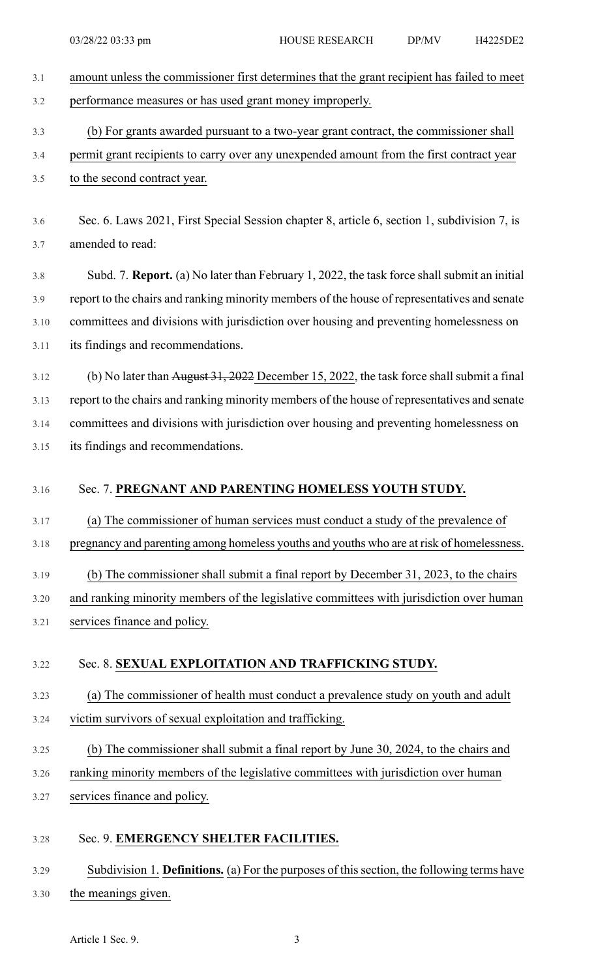| 3.1  | amount unless the commissioner first determines that the grant recipient has failed to meet                       |
|------|-------------------------------------------------------------------------------------------------------------------|
| 3.2  | performance measures or has used grant money improperly.                                                          |
| 3.3  | (b) For grants awarded pursuant to a two-year grant contract, the commissioner shall                              |
| 3.4  | permit grant recipients to carry over any unexpended amount from the first contract year                          |
| 3.5  | to the second contract year.                                                                                      |
| 3.6  | Sec. 6. Laws 2021, First Special Session chapter 8, article 6, section 1, subdivision 7, is                       |
| 3.7  | amended to read:                                                                                                  |
| 3.8  | Subd. 7. Report. (a) No later than February 1, 2022, the task force shall submit an initial                       |
| 3.9  | report to the chairs and ranking minority members of the house of representatives and senate                      |
| 3.10 | committees and divisions with jurisdiction over housing and preventing homelessness on                            |
| 3.11 | its findings and recommendations.                                                                                 |
| 3.12 | (b) No later than $\frac{\text{August 31, 2022}}{\text{December 15, 2022}}$ , the task force shall submit a final |
| 3.13 | report to the chairs and ranking minority members of the house of representatives and senate                      |
| 3.14 | committees and divisions with jurisdiction over housing and preventing homelessness on                            |
| 3.15 | its findings and recommendations.                                                                                 |
| 3.16 | Sec. 7. PREGNANT AND PARENTING HOMELESS YOUTH STUDY.                                                              |
| 3.17 | (a) The commissioner of human services must conduct a study of the prevalence of                                  |
| 3.18 | pregnancy and parenting among homeless youths and youths who are at risk of homelessness.                         |
| 3.19 | (b) The commissioner shall submit a final report by December 31, 2023, to the chairs                              |
| 3.20 | and ranking minority members of the legislative committees with jurisdiction over human                           |
| 3.21 | services finance and policy.                                                                                      |
| 3.22 | Sec. 8. SEXUAL EXPLOITATION AND TRAFFICKING STUDY.                                                                |
| 3.23 | (a) The commissioner of health must conduct a prevalence study on youth and adult                                 |
| 3.24 | victim survivors of sexual exploitation and trafficking.                                                          |
| 3.25 | (b) The commissioner shall submit a final report by June 30, 2024, to the chairs and                              |
| 3.26 | ranking minority members of the legislative committees with jurisdiction over human                               |
| 3.27 | services finance and policy.                                                                                      |
| 3.28 | Sec. 9. EMERGENCY SHELTER FACILITIES.                                                                             |
| 3.29 | Subdivision 1. Definitions. (a) For the purposes of this section, the following terms have                        |
| 3.30 | the meanings given.                                                                                               |
|      |                                                                                                                   |

Article 1 Sec. 9. 3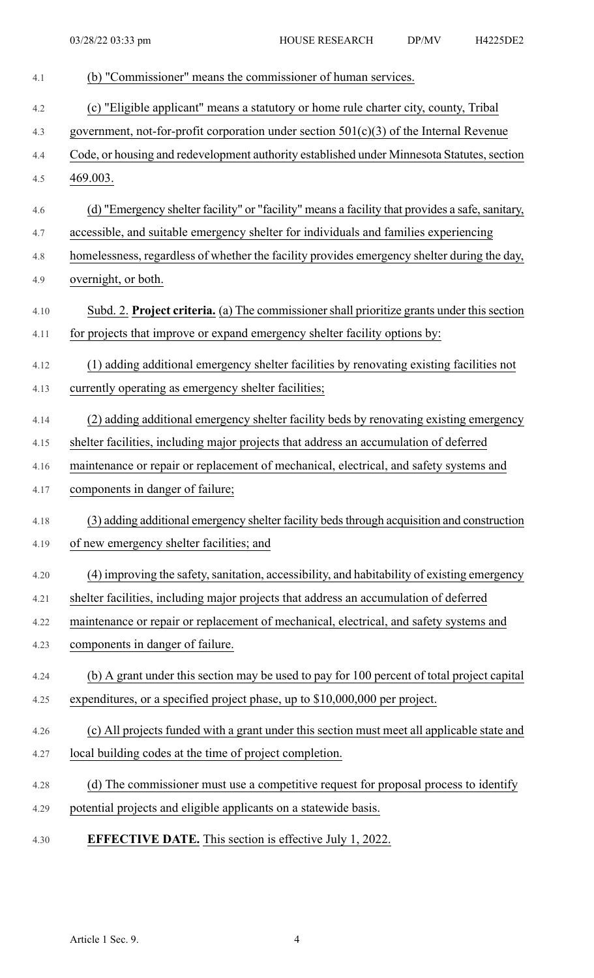| 4.1  | (b) "Commissioner" means the commissioner of human services.                                    |
|------|-------------------------------------------------------------------------------------------------|
| 4.2  | (c) "Eligible applicant" means a statutory or home rule charter city, county, Tribal            |
| 4.3  | government, not-for-profit corporation under section $501(c)(3)$ of the Internal Revenue        |
| 4.4  | Code, or housing and redevelopment authority established under Minnesota Statutes, section      |
| 4.5  | 469.003.                                                                                        |
| 4.6  | (d) "Emergency shelter facility" or "facility" means a facility that provides a safe, sanitary, |
| 4.7  | accessible, and suitable emergency shelter for individuals and families experiencing            |
| 4.8  | homelessness, regardless of whether the facility provides emergency shelter during the day,     |
| 4.9  | overnight, or both.                                                                             |
| 4.10 | Subd. 2. Project criteria. (a) The commissioner shall prioritize grants under this section      |
| 4.11 | for projects that improve or expand emergency shelter facility options by:                      |
| 4.12 | (1) adding additional emergency shelter facilities by renovating existing facilities not        |
| 4.13 | currently operating as emergency shelter facilities;                                            |
| 4.14 | (2) adding additional emergency shelter facility beds by renovating existing emergency          |
| 4.15 | shelter facilities, including major projects that address an accumulation of deferred           |
| 4.16 | maintenance or repair or replacement of mechanical, electrical, and safety systems and          |
| 4.17 | components in danger of failure;                                                                |
| 4.18 | (3) adding additional emergency shelter facility beds through acquisition and construction      |
| 4.19 | of new emergency shelter facilities; and                                                        |
| 4.20 | (4) improving the safety, sanitation, accessibility, and habitability of existing emergency     |
| 4.21 | shelter facilities, including major projects that address an accumulation of deferred           |
| 4.22 | maintenance or repair or replacement of mechanical, electrical, and safety systems and          |
| 4.23 | components in danger of failure.                                                                |
| 4.24 | (b) A grant under this section may be used to pay for 100 percent of total project capital      |
| 4.25 | expenditures, or a specified project phase, up to \$10,000,000 per project.                     |
| 4.26 | (c) All projects funded with a grant under this section must meet all applicable state and      |
| 4.27 | local building codes at the time of project completion.                                         |
| 4.28 | (d) The commissioner must use a competitive request for proposal process to identify            |
| 4.29 | potential projects and eligible applicants on a statewide basis.                                |
| 4.30 | <b>EFFECTIVE DATE.</b> This section is effective July 1, 2022.                                  |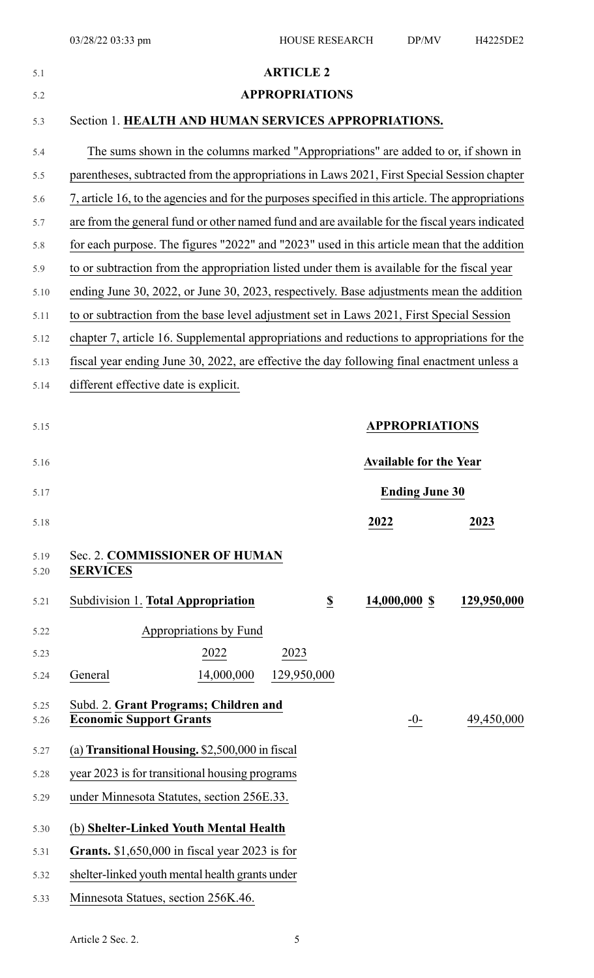| 5.1          |                                                                                                   | <b>ARTICLE 2</b>      |                         |                               |             |
|--------------|---------------------------------------------------------------------------------------------------|-----------------------|-------------------------|-------------------------------|-------------|
| 5.2          |                                                                                                   | <b>APPROPRIATIONS</b> |                         |                               |             |
| 5.3          | Section 1. HEALTH AND HUMAN SERVICES APPROPRIATIONS.                                              |                       |                         |                               |             |
| 5.4          | The sums shown in the columns marked "Appropriations" are added to or, if shown in                |                       |                         |                               |             |
| 5.5          | parentheses, subtracted from the appropriations in Laws 2021, First Special Session chapter       |                       |                         |                               |             |
| 5.6          | 7, article 16, to the agencies and for the purposes specified in this article. The appropriations |                       |                         |                               |             |
| 5.7          | are from the general fund or other named fund and are available for the fiscal years indicated    |                       |                         |                               |             |
| 5.8          | for each purpose. The figures "2022" and "2023" used in this article mean that the addition       |                       |                         |                               |             |
| 5.9          | to or subtraction from the appropriation listed under them is available for the fiscal year       |                       |                         |                               |             |
| 5.10         | ending June 30, 2022, or June 30, 2023, respectively. Base adjustments mean the addition          |                       |                         |                               |             |
| 5.11         | to or subtraction from the base level adjustment set in Laws 2021, First Special Session          |                       |                         |                               |             |
| 5.12         | chapter 7, article 16. Supplemental appropriations and reductions to appropriations for the       |                       |                         |                               |             |
| 5.13         | fiscal year ending June 30, 2022, are effective the day following final enactment unless a        |                       |                         |                               |             |
| 5.14         | different effective date is explicit.                                                             |                       |                         |                               |             |
|              |                                                                                                   |                       |                         |                               |             |
| 5.15         |                                                                                                   |                       |                         | <b>APPROPRIATIONS</b>         |             |
|              |                                                                                                   |                       |                         |                               |             |
| 5.16         |                                                                                                   |                       |                         | <b>Available for the Year</b> |             |
| 5.17         |                                                                                                   |                       |                         | <b>Ending June 30</b>         |             |
| 5.18         |                                                                                                   |                       |                         | 2022                          | 2023        |
|              |                                                                                                   |                       |                         |                               |             |
| 5.19<br>5.20 | Sec. 2. COMMISSIONER OF HUMAN<br><b>SERVICES</b>                                                  |                       |                         |                               |             |
| 5.21         | Subdivision 1. Total Appropriation                                                                |                       | $\overline{\mathbf{S}}$ | 14,000,000 \$                 | 129,950,000 |
|              |                                                                                                   |                       |                         |                               |             |
| 5.22         | Appropriations by Fund                                                                            |                       |                         |                               |             |
| 5.23         | 2022                                                                                              | 2023                  |                         |                               |             |
| 5.24         | 14,000,000<br>General                                                                             | 129,950,000           |                         |                               |             |
| 5.25         | Subd. 2. Grant Programs; Children and                                                             |                       |                         |                               |             |
| 5.26         | <b>Economic Support Grants</b>                                                                    |                       |                         | $-0-$                         | 49,450,000  |
| 5.27         | (a) Transitional Housing. $$2,500,000$ in fiscal                                                  |                       |                         |                               |             |
| 5.28         | year 2023 is for transitional housing programs                                                    |                       |                         |                               |             |
| 5.29         | under Minnesota Statutes, section 256E.33.                                                        |                       |                         |                               |             |
| 5.30         | (b) Shelter-Linked Youth Mental Health                                                            |                       |                         |                               |             |
| 5.31         | Grants. $$1,650,000$ in fiscal year 2023 is for                                                   |                       |                         |                               |             |
| 5.32         | shelter-linked youth mental health grants under                                                   |                       |                         |                               |             |
| 5.33         | Minnesota Statues, section 256K.46.                                                               |                       |                         |                               |             |
|              |                                                                                                   |                       |                         |                               |             |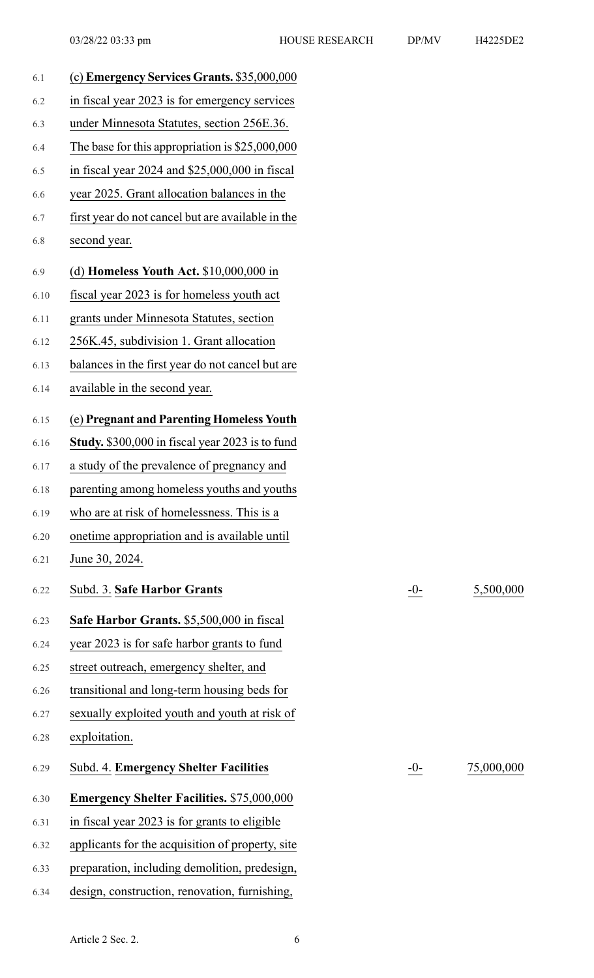6.22 Subd. 3. **Safe Harbor Grants** -0- 5,500,000

6.29 Subd. 4. **Emergency Shelter Facilities** -0- 75,000,000

| 6.1  | (c) Emergency Services Grants. \$35,000,000       |       |
|------|---------------------------------------------------|-------|
| 6.2  | in fiscal year 2023 is for emergency services     |       |
| 6.3  | under Minnesota Statutes, section 256E.36.        |       |
| 6.4  | The base for this appropriation is $$25,000,000$  |       |
| 6.5  | in fiscal year 2024 and \$25,000,000 in fiscal    |       |
| 6.6  | year 2025. Grant allocation balances in the       |       |
| 6.7  | first year do not cancel but are available in the |       |
| 6.8  | second year.                                      |       |
| 6.9  | (d) Homeless Youth Act. $$10,000,000$ in          |       |
| 6.10 | fiscal year 2023 is for homeless youth act        |       |
| 6.11 | grants under Minnesota Statutes, section          |       |
| 6.12 | 256K.45, subdivision 1. Grant allocation          |       |
| 6.13 | balances in the first year do not cancel but are  |       |
| 6.14 | available in the second year.                     |       |
| 6.15 | (e) Pregnant and Parenting Homeless Youth         |       |
| 6.16 | Study. \$300,000 in fiscal year 2023 is to fund   |       |
| 6.17 | a study of the prevalence of pregnancy and        |       |
| 6.18 | parenting among homeless youths and youths        |       |
| 6.19 | who are at risk of homelessness. This is a        |       |
| 6.20 | onetime appropriation and is available until      |       |
| 6.21 | June 30, 2024.                                    |       |
| 6.22 | Subd. 3. Safe Harbor Grants                       | $-0-$ |
| 6.23 | Safe Harbor Grants. \$5,500,000 in fiscal         |       |
| 6.24 | year 2023 is for safe harbor grants to fund       |       |
| 6.25 | street outreach, emergency shelter, and           |       |
| 6.26 | transitional and long-term housing beds for       |       |
| 6.27 | sexually exploited youth and youth at risk of     |       |
| 6.28 | exploitation.                                     |       |
| 6.29 | Subd. 4. Emergency Shelter Facilities             | -0-   |
| 6.30 | <b>Emergency Shelter Facilities. \$75,000,000</b> |       |
| 6.31 | in fiscal year 2023 is for grants to eligible     |       |
| 6.32 | applicants for the acquisition of property, site  |       |
| 6.33 | preparation, including demolition, predesign,     |       |
| 6.34 | design, construction, renovation, furnishing,     |       |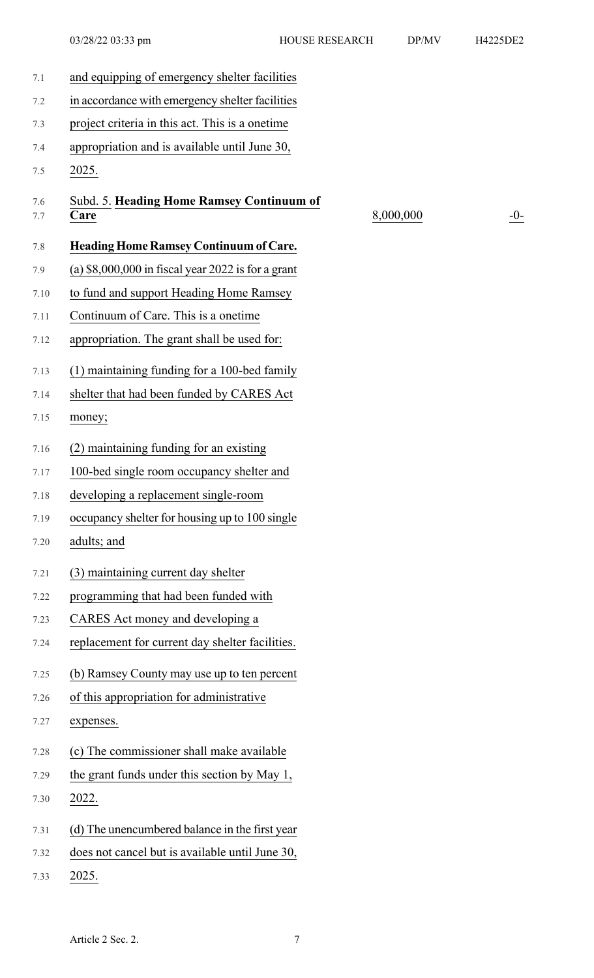| 7.1        | and equipping of emergency shelter facilities       |
|------------|-----------------------------------------------------|
| 7.2        | in accordance with emergency shelter facilities     |
| 7.3        | project criteria in this act. This is a onetime     |
| 7.4        | appropriation and is available until June 30,       |
| 7.5        | 2025.                                               |
| 7.6<br>7.7 | Subd. 5. Heading Home Ramsey Continuum of<br>Care   |
| 7.8        | <b>Heading Home Ramsey Continuum of Care.</b>       |
| 7.9        | (a) $$8,000,000$ in fiscal year 2022 is for a grant |
| 7.10       | to fund and support Heading Home Ramsey             |
| 7.11       | Continuum of Care. This is a onetime                |
| 7.12       | appropriation. The grant shall be used for:         |
| 7.13       | (1) maintaining funding for a 100-bed family        |
| 7.14       | shelter that had been funded by CARES Act           |
| 7.15       | money;                                              |
| 7.16       | (2) maintaining funding for an existing             |
| 7.17       | 100-bed single room occupancy shelter and           |
| 7.18       | developing a replacement single-room                |
| 7.19       | occupancy shelter for housing up to 100 single      |
| 7.20       | adults; and                                         |
| 7.21       | (3) maintaining current day shelter                 |
| 7.22       | programming that had been funded with               |
| 7.23       | CARES Act money and developing a                    |
| 7.24       | replacement for current day shelter facilities.     |
| 7.25       | (b) Ramsey County may use up to ten percent         |
| 7.26       | of this appropriation for administrative            |
| 7.27       | expenses.                                           |
| 7.28       | (c) The commissioner shall make available           |
| 7.29       | the grant funds under this section by May 1,        |
| 7.30       | 2022.                                               |
| 7.31       | (d) The unencumbered balance in the first year      |
| 7.32       | does not cancel but is available until June 30,     |
| 7.33       | 2025.                                               |
|            |                                                     |

 $8,000,000$   $-0$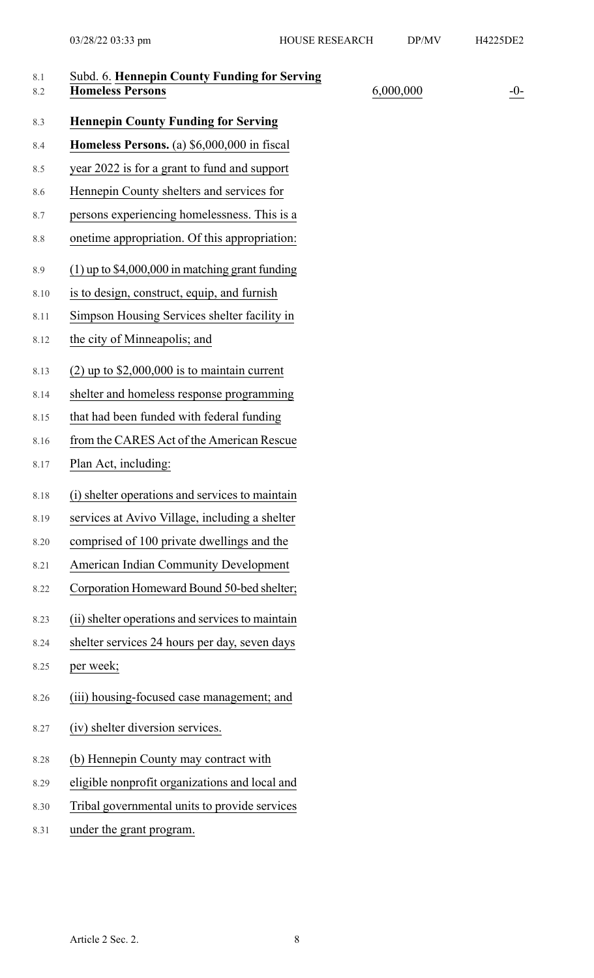| 8.1<br>8.2 | Subd. 6. Hennepin County Funding for Serving<br><b>Homeless Persons</b> | 6,000,000 | $-0-$ |
|------------|-------------------------------------------------------------------------|-----------|-------|
| 8.3        | <b>Hennepin County Funding for Serving</b>                              |           |       |
| 8.4        | Homeless Persons. (a) \$6,000,000 in fiscal                             |           |       |
| 8.5        | year 2022 is for a grant to fund and support                            |           |       |
| 8.6        | Hennepin County shelters and services for                               |           |       |
| 8.7        | persons experiencing homelessness. This is a                            |           |       |
| 8.8        | onetime appropriation. Of this appropriation:                           |           |       |
| 8.9        | $(1)$ up to \$4,000,000 in matching grant funding                       |           |       |
| 8.10       | is to design, construct, equip, and furnish                             |           |       |
| 8.11       | Simpson Housing Services shelter facility in                            |           |       |
| 8.12       | the city of Minneapolis; and                                            |           |       |
| 8.13       | $(2)$ up to \$2,000,000 is to maintain current                          |           |       |
| 8.14       | shelter and homeless response programming                               |           |       |
| 8.15       | that had been funded with federal funding                               |           |       |
| 8.16       | from the CARES Act of the American Rescue                               |           |       |
| 8.17       | Plan Act, including:                                                    |           |       |
| 8.18       | (i) shelter operations and services to maintain                         |           |       |
| 8.19       | services at Avivo Village, including a shelter                          |           |       |
| 8.20       | comprised of 100 private dwellings and the                              |           |       |
| 8.21       | American Indian Community Development                                   |           |       |
| 8.22       | Corporation Homeward Bound 50-bed shelter;                              |           |       |
| 8.23       | (ii) shelter operations and services to maintain                        |           |       |
| 8.24       | shelter services 24 hours per day, seven days                           |           |       |
| 8.25       | per week;                                                               |           |       |
| 8.26       | (iii) housing-focused case management; and                              |           |       |
| 8.27       | (iv) shelter diversion services.                                        |           |       |
| 8.28       | (b) Hennepin County may contract with                                   |           |       |
| 8.29       | eligible nonprofit organizations and local and                          |           |       |
| 8.30       | Tribal governmental units to provide services                           |           |       |
| 8.31       | under the grant program.                                                |           |       |
|            |                                                                         |           |       |